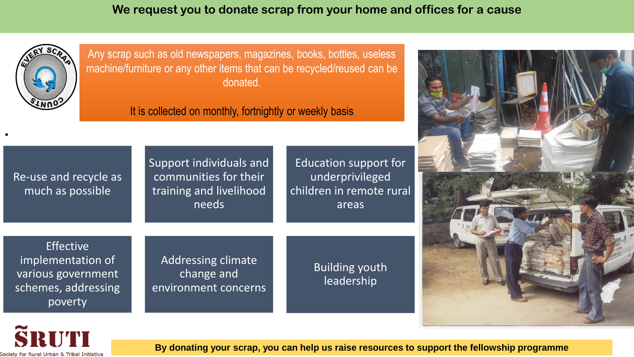**We request you to donate scrap from your home and offices for a cause** 



•

Any scrap such as old newspapers, magazines, books, bottles, useless machine/furniture or any other items that can be recycled/reused can be donated.

It is collected on monthly, fortnightly or weekly basis

| Re-use and recycle as<br>much as possible                                                     | Support individuals and<br>communities for their<br>training and livelihood<br>needs | Education support for<br>underprivileged<br>children in remote rural<br>areas |  |
|-----------------------------------------------------------------------------------------------|--------------------------------------------------------------------------------------|-------------------------------------------------------------------------------|--|
| <b>Effective</b><br>implementation of<br>various government<br>schemes, addressing<br>poverty | <b>Addressing climate</b><br>change and<br>environment concerns                      | <b>Building youth</b><br>leadership                                           |  |





**By donating your scrap, you can help us raise resources to support the fellowship programme**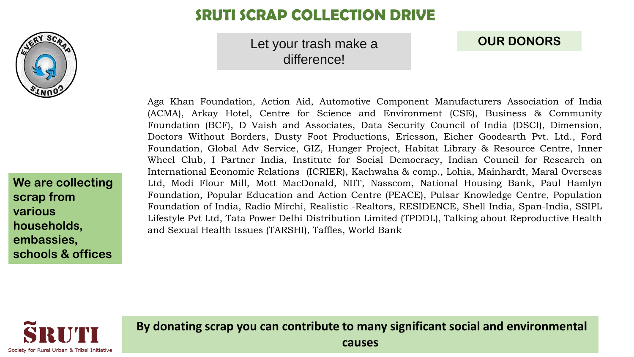

# **SRUTI SCRAP COLLECTION DRIVE**

## Let your trash make a difference!

## **OUR DONORS**

Aga Khan Foundation, Action Aid, Automotive Component Manufacturers Association of India (ACMA), Arkay Hotel, Centre for Science and Environment (CSE), Business & Community Foundation (BCF), D Vaish and Associates, Data Security Council of India (DSCI), Dimension, Doctors Without Borders, Dusty Foot Productions, Ericsson, Eicher Goodearth Pvt. Ltd., Ford Foundation, Global Adv Service, GIZ, Hunger Project, Habitat Library & Resource Centre, Inner Wheel Club, I Partner India, Institute for Social Democracy, Indian Council for Research on International Economic Relations (ICRIER), Kachwaha & comp., Lohia, Mainhardt, Maral Overseas Ltd, Modi Flour Mill, Mott MacDonald, NIIT, Nasscom, National Housing Bank, Paul Hamlyn Foundation, Popular Education and Action Centre (PEACE), Pulsar Knowledge Centre, Population Foundation of India, Radio Mirchi, Realistic -Realtors, RESIDENCE, Shell India, Span-India, SSIPL Lifestyle Pvt Ltd, Tata Power Delhi Distribution Limited (TPDDL), Talking about Reproductive Health and Sexual Health Issues (TARSHI), Taffles, World Bank

**We are collecting scrap from various households, embassies, schools & offices**



**By donating scrap you can contribute to many significant social and environmental causes**